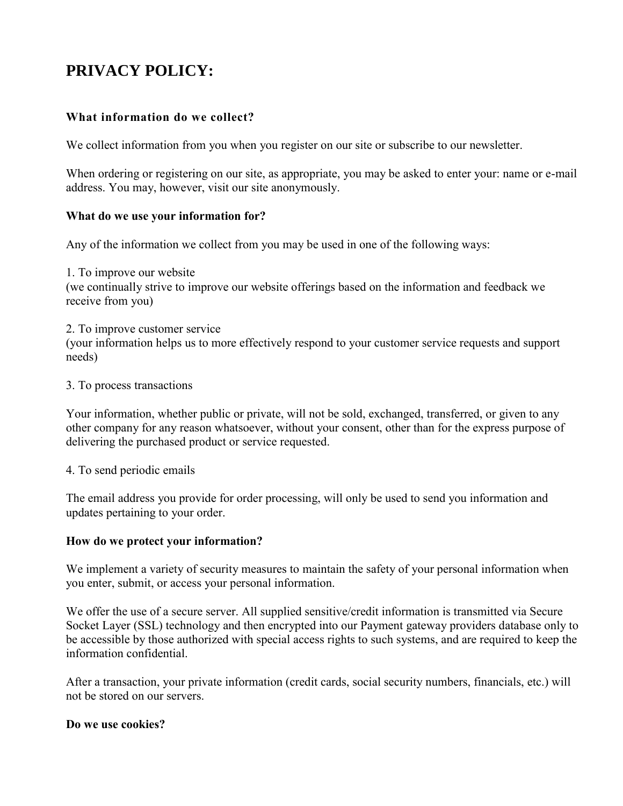# **PRIVACY POLICY:**

# **What information do we collect?**

We collect information from you when you register on our site or subscribe to our newsletter.

When ordering or registering on our site, as appropriate, you may be asked to enter your: name or e-mail address. You may, however, visit our site anonymously.

#### **What do we use your information for?**

Any of the information we collect from you may be used in one of the following ways:

1. To improve our website (we continually strive to improve our website offerings based on the information and feedback we receive from you)

- 2. To improve customer service (your information helps us to more effectively respond to your customer service requests and support
- 3. To process transactions

needs)

Your information, whether public or private, will not be sold, exchanged, transferred, or given to any other company for any reason whatsoever, without your consent, other than for the express purpose of delivering the purchased product or service requested.

4. To send periodic emails

The email address you provide for order processing, will only be used to send you information and updates pertaining to your order.

#### **How do we protect your information?**

We implement a variety of security measures to maintain the safety of your personal information when you enter, submit, or access your personal information.

We offer the use of a secure server. All supplied sensitive/credit information is transmitted via Secure Socket Layer (SSL) technology and then encrypted into our Payment gateway providers database only to be accessible by those authorized with special access rights to such systems, and are required to keep the information confidential.

After a transaction, your private information (credit cards, social security numbers, financials, etc.) will not be stored on our servers.

#### **Do we use cookies?**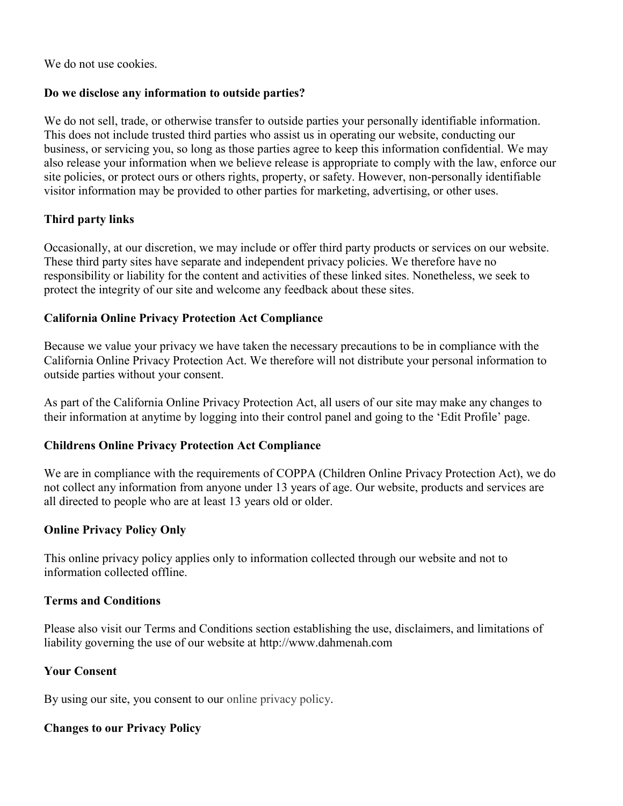We do not use cookies.

# **Do we disclose any information to outside parties?**

We do not sell, trade, or otherwise transfer to outside parties your personally identifiable information. This does not include trusted third parties who assist us in operating our website, conducting our business, or servicing you, so long as those parties agree to keep this information confidential. We may also release your information when we believe release is appropriate to comply with the law, enforce our site policies, or protect ours or others rights, property, or safety. However, non-personally identifiable visitor information may be provided to other parties for marketing, advertising, or other uses.

#### **Third party links**

Occasionally, at our discretion, we may include or offer third party products or services on our website. These third party sites have separate and independent privacy policies. We therefore have no responsibility or liability for the content and activities of these linked sites. Nonetheless, we seek to protect the integrity of our site and welcome any feedback about these sites.

#### **California Online Privacy Protection Act Compliance**

Because we value your privacy we have taken the necessary precautions to be in compliance with the California Online Privacy Protection Act. We therefore will not distribute your personal information to outside parties without your consent.

As part of the California Online Privacy Protection Act, all users of our site may make any changes to their information at anytime by logging into their control panel and going to the 'Edit Profile' page.

# **Childrens Online Privacy Protection Act Compliance**

We are in compliance with the requirements of COPPA (Children Online Privacy Protection Act), we do not collect any information from anyone under 13 years of age. Our website, products and services are all directed to people who are at least 13 years old or older.

#### **Online Privacy Policy Only**

This online privacy policy applies only to information collected through our website and not to information collected offline.

#### **Terms and Conditions**

Please also visit our Terms and Conditions section establishing the use, disclaimers, and limitations of liability governing the use of our website at http://www.dahmenah.com

#### **Your Consent**

By using our site, you consent to our [online privacy policy.](http://www.freeprivacypolicy.com/)

# **Changes to our Privacy Policy**